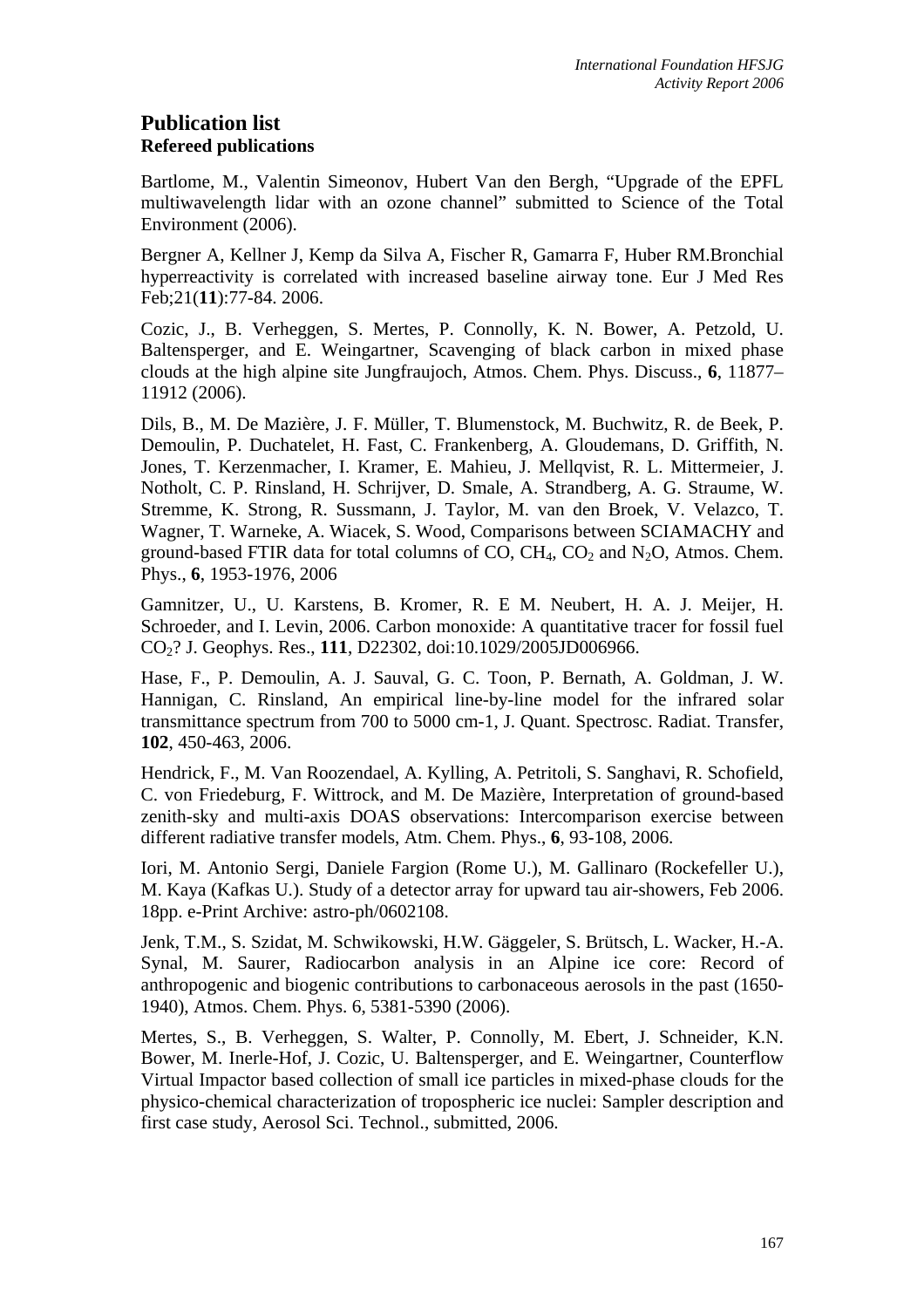# **Publication list Refereed publications**

Bartlome, M., Valentin Simeonov, Hubert Van den Bergh, "Upgrade of the EPFL multiwavelength lidar with an ozone channel" submitted to Science of the Total Environment (2006).

Bergner A, Kellner J, Kemp da Silva A, Fischer R, Gamarra F, Huber RM.Bronchial hyperreactivity is correlated with increased baseline airway tone. Eur J Med Res Feb;21(**11**):77-84. 2006.

Cozic, J., B. Verheggen, S. Mertes, P. Connolly, K. N. Bower, A. Petzold, U. Baltensperger, and E. Weingartner, Scavenging of black carbon in mixed phase clouds at the high alpine site Jungfraujoch, Atmos. Chem. Phys. Discuss., **6**, 11877– 11912 (2006).

Dils, B., M. De Mazière, J. F. Müller, T. Blumenstock, M. Buchwitz, R. de Beek, P. Demoulin, P. Duchatelet, H. Fast, C. Frankenberg, A. Gloudemans, D. Griffith, N. Jones, T. Kerzenmacher, I. Kramer, E. Mahieu, J. Mellqvist, R. L. Mittermeier, J. Notholt, C. P. Rinsland, H. Schrijver, D. Smale, A. Strandberg, A. G. Straume, W. Stremme, K. Strong, R. Sussmann, J. Taylor, M. van den Broek, V. Velazco, T. Wagner, T. Warneke, A. Wiacek, S. Wood, Comparisons between SCIAMACHY and ground-based FTIR data for total columns of CO,  $CH_4$ , CO<sub>2</sub> and N<sub>2</sub>O, Atmos. Chem. Phys., **6**, 1953-1976, 2006

Gamnitzer, U., U. Karstens, B. Kromer, R. E M. Neubert, H. A. J. Meijer, H. Schroeder, and I. Levin, 2006. Carbon monoxide: A quantitative tracer for fossil fuel CO2? J. Geophys. Res., **111**, D22302, doi:10.1029/2005JD006966.

Hase, F., P. Demoulin, A. J. Sauval, G. C. Toon, P. Bernath, A. Goldman, J. W. Hannigan, C. Rinsland, An empirical line-by-line model for the infrared solar transmittance spectrum from 700 to 5000 cm-1, J. Quant. Spectrosc. Radiat. Transfer, **102**, 450-463, 2006.

Hendrick, F., M. Van Roozendael, A. Kylling, A. Petritoli, S. Sanghavi, R. Schofield, C. von Friedeburg, F. Wittrock, and M. De Mazière, Interpretation of ground-based zenith-sky and multi-axis DOAS observations: Intercomparison exercise between different radiative transfer models, Atm. Chem. Phys., **6**, 93-108, 2006.

Iori, M. Antonio Sergi, Daniele Fargion (Rome U.), M. Gallinaro (Rockefeller U.), M. Kaya (Kafkas U.). Study of a detector array for upward tau air-showers, Feb 2006. 18pp. e-Print Archive: astro-ph/0602108.

Jenk, T.M., S. Szidat, M. Schwikowski, H.W. Gäggeler, S. Brütsch, L. Wacker, H.-A. Synal, M. Saurer, Radiocarbon analysis in an Alpine ice core: Record of anthropogenic and biogenic contributions to carbonaceous aerosols in the past (1650- 1940), Atmos. Chem. Phys. 6, 5381-5390 (2006).

Mertes, S., B. Verheggen, S. Walter, P. Connolly, M. Ebert, J. Schneider, K.N. Bower, M. Inerle-Hof, J. Cozic, U. Baltensperger, and E. Weingartner, Counterflow Virtual Impactor based collection of small ice particles in mixed-phase clouds for the physico-chemical characterization of tropospheric ice nuclei: Sampler description and first case study, Aerosol Sci. Technol., submitted, 2006.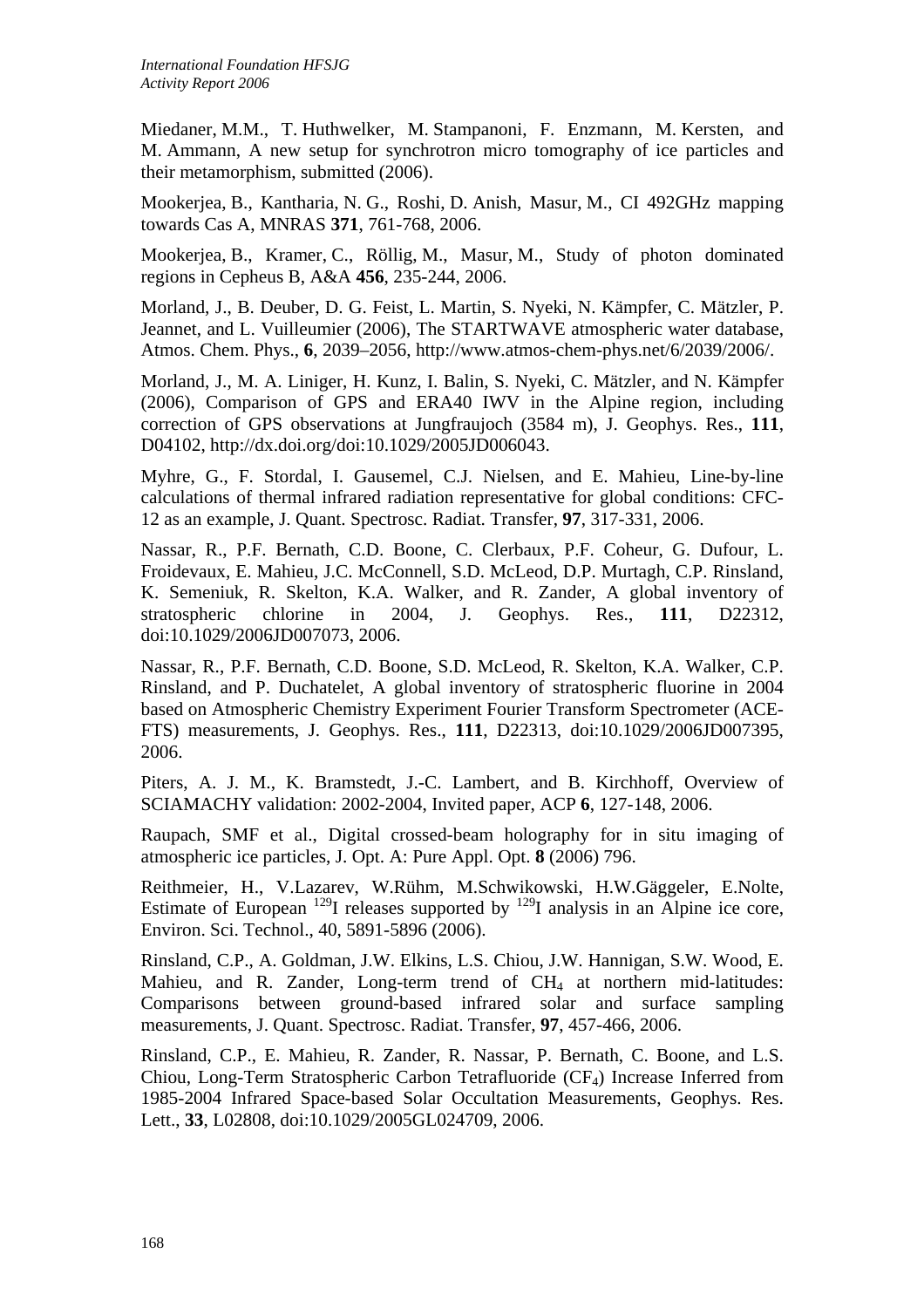Miedaner, M.M., T. Huthwelker, M. Stampanoni, F. Enzmann, M. Kersten, and M. Ammann, A new setup for synchrotron micro tomography of ice particles and their metamorphism, submitted (2006).

Mookerjea, B., Kantharia, N. G., Roshi, D. Anish, Masur, M., CI 492GHz mapping towards Cas A, MNRAS **371**, 761-768, 2006.

Mookerjea, B., Kramer, C., Röllig, M., Masur, M., Study of photon dominated regions in Cepheus B, A&A **456**, 235-244, 2006.

Morland, J., B. Deuber, D. G. Feist, L. Martin, S. Nyeki, N. Kämpfer, C. Mätzler, P. Jeannet, and L. Vuilleumier (2006), The STARTWAVE atmospheric water database, Atmos. Chem. Phys., **6**, 2039–2056, http://www.atmos-chem-phys.net/6/2039/2006/.

Morland, J., M. A. Liniger, H. Kunz, I. Balin, S. Nyeki, C. Mätzler, and N. Kämpfer (2006), Comparison of GPS and ERA40 IWV in the Alpine region, including correction of GPS observations at Jungfraujoch (3584 m), J. Geophys. Res., **111**, D04102, http://dx.doi.org/doi:10.1029/2005JD006043.

Myhre, G., F. Stordal, I. Gausemel, C.J. Nielsen, and E. Mahieu, Line-by-line calculations of thermal infrared radiation representative for global conditions: CFC-12 as an example, J. Quant. Spectrosc. Radiat. Transfer, **97**, 317-331, 2006.

Nassar, R., P.F. Bernath, C.D. Boone, C. Clerbaux, P.F. Coheur, G. Dufour, L. Froidevaux, E. Mahieu, J.C. McConnell, S.D. McLeod, D.P. Murtagh, C.P. Rinsland, K. Semeniuk, R. Skelton, K.A. Walker, and R. Zander, A global inventory of stratospheric chlorine in 2004, J. Geophys. Res., **111**, D22312, doi:10.1029/2006JD007073, 2006.

Nassar, R., P.F. Bernath, C.D. Boone, S.D. McLeod, R. Skelton, K.A. Walker, C.P. Rinsland, and P. Duchatelet, A global inventory of stratospheric fluorine in 2004 based on Atmospheric Chemistry Experiment Fourier Transform Spectrometer (ACE-FTS) measurements, J. Geophys. Res., **111**, D22313, doi:10.1029/2006JD007395, 2006.

Piters, A. J. M., K. Bramstedt, J.-C. Lambert, and B. Kirchhoff, Overview of SCIAMACHY validation: 2002-2004, Invited paper, ACP **6**, 127-148, 2006.

Raupach, SMF et al., Digital crossed-beam holography for in situ imaging of atmospheric ice particles, J. Opt. A: Pure Appl. Opt. **8** (2006) 796.

Reithmeier, H., V.Lazarev, W.Rühm, M.Schwikowski, H.W.Gäggeler, E.Nolte, Estimate of European  $129$ I releases supported by  $129$ I analysis in an Alpine ice core, Environ. Sci. Technol., 40, 5891-5896 (2006).

Rinsland, C.P., A. Goldman, J.W. Elkins, L.S. Chiou, J.W. Hannigan, S.W. Wood, E. Mahieu, and R. Zander, Long-term trend of  $CH<sub>4</sub>$  at northern mid-latitudes: Comparisons between ground-based infrared solar and surface sampling measurements, J. Quant. Spectrosc. Radiat. Transfer, **97**, 457-466, 2006.

Rinsland, C.P., E. Mahieu, R. Zander, R. Nassar, P. Bernath, C. Boone, and L.S. Chiou, Long-Term Stratospheric Carbon Tetrafluoride (CF4) Increase Inferred from 1985-2004 Infrared Space-based Solar Occultation Measurements, Geophys. Res. Lett., **33**, L02808, doi:10.1029/2005GL024709, 2006.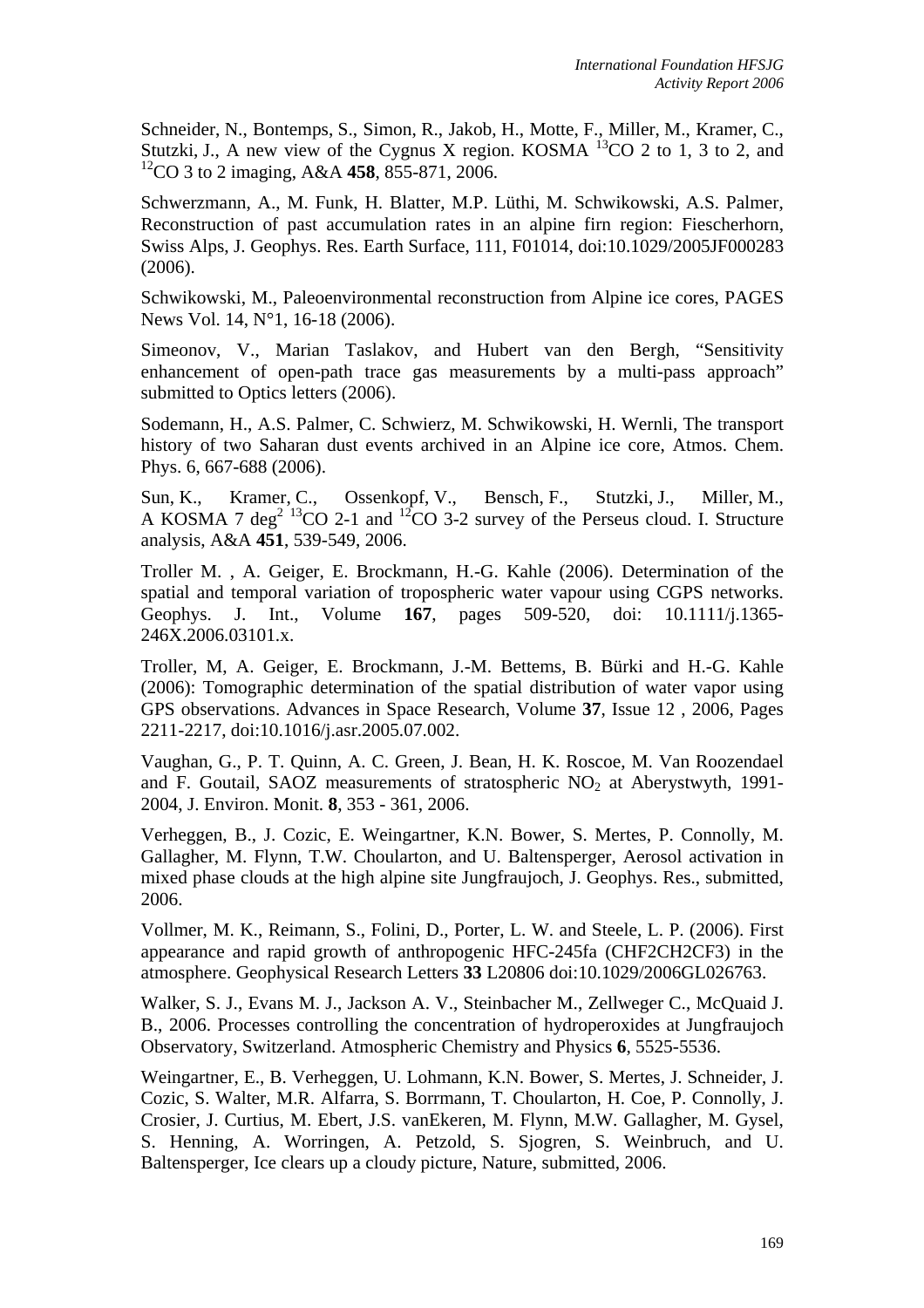Schneider, N., Bontemps, S., Simon, R., Jakob, H., Motte, F., Miller, M., Kramer, C., Stutzki, J., A new view of the Cygnus X region. KOSMA  $^{13}$ CO 2 to 1, 3 to 2, and 12CO 3 to 2 imaging, A&A **458**, 855-871, 2006.

Schwerzmann, A., M. Funk, H. Blatter, M.P. Lüthi, M. Schwikowski, A.S. Palmer, Reconstruction of past accumulation rates in an alpine firn region: Fiescherhorn, Swiss Alps, J. Geophys. Res. Earth Surface, 111, F01014, doi:10.1029/2005JF000283 (2006).

Schwikowski, M., Paleoenvironmental reconstruction from Alpine ice cores, PAGES News Vol. 14, N°1, 16-18 (2006).

Simeonov, V., Marian Taslakov, and Hubert van den Bergh, "Sensitivity enhancement of open-path trace gas measurements by a multi-pass approach" submitted to Optics letters (2006).

Sodemann, H., A.S. Palmer, C. Schwierz, M. Schwikowski, H. Wernli, The transport history of two Saharan dust events archived in an Alpine ice core, Atmos. Chem. Phys. 6, 667-688 (2006).

Sun, K., Kramer, C., Ossenkopf, V., Bensch, F., Stutzki, J., Miller, M., A KOSMA 7 deg<sup>2 13</sup>CO 2-1 and <sup>12</sup>CO 3-2 survey of the Perseus cloud. I. Structure analysis, A&A **451**, 539-549, 2006.

Troller M. , A. Geiger, E. Brockmann, H.-G. Kahle (2006). Determination of the spatial and temporal variation of tropospheric water vapour using CGPS networks. Geophys. J. Int., Volume **167**, pages 509-520, doi: 10.1111/j.1365- 246X.2006.03101.x.

Troller, M, A. Geiger, E. Brockmann, J.-M. Bettems, B. Bürki and H.-G. Kahle (2006): Tomographic determination of the spatial distribution of water vapor using GPS observations. Advances in Space Research, Volume **37**, Issue 12 , 2006, Pages 2211-2217, doi:10.1016/j.asr.2005.07.002.

Vaughan, G., P. T. Quinn, A. C. Green, J. Bean, H. K. Roscoe, M. Van Roozendael and F. Goutail, SAOZ measurements of stratospheric  $NO<sub>2</sub>$  at Aberystwyth, 1991-2004, J. Environ. Monit. **8**, 353 - 361, 2006.

Verheggen, B., J. Cozic, E. Weingartner, K.N. Bower, S. Mertes, P. Connolly, M. Gallagher, M. Flynn, T.W. Choularton, and U. Baltensperger, Aerosol activation in mixed phase clouds at the high alpine site Jungfraujoch, J. Geophys. Res., submitted, 2006.

Vollmer, M. K., Reimann, S., Folini, D., Porter, L. W. and Steele, L. P. (2006). First appearance and rapid growth of anthropogenic HFC-245fa (CHF2CH2CF3) in the atmosphere. Geophysical Research Letters **33** L20806 doi:10.1029/2006GL026763.

Walker, S. J., Evans M. J., Jackson A. V., Steinbacher M., Zellweger C., McQuaid J. B., 2006. Processes controlling the concentration of hydroperoxides at Jungfraujoch Observatory, Switzerland. Atmospheric Chemistry and Physics **6**, 5525-5536.

Weingartner, E., B. Verheggen, U. Lohmann, K.N. Bower, S. Mertes, J. Schneider, J. Cozic, S. Walter, M.R. Alfarra, S. Borrmann, T. Choularton, H. Coe, P. Connolly, J. Crosier, J. Curtius, M. Ebert, J.S. vanEkeren, M. Flynn, M.W. Gallagher, M. Gysel, S. Henning, A. Worringen, A. Petzold, S. Sjogren, S. Weinbruch, and U. Baltensperger, Ice clears up a cloudy picture, Nature, submitted, 2006.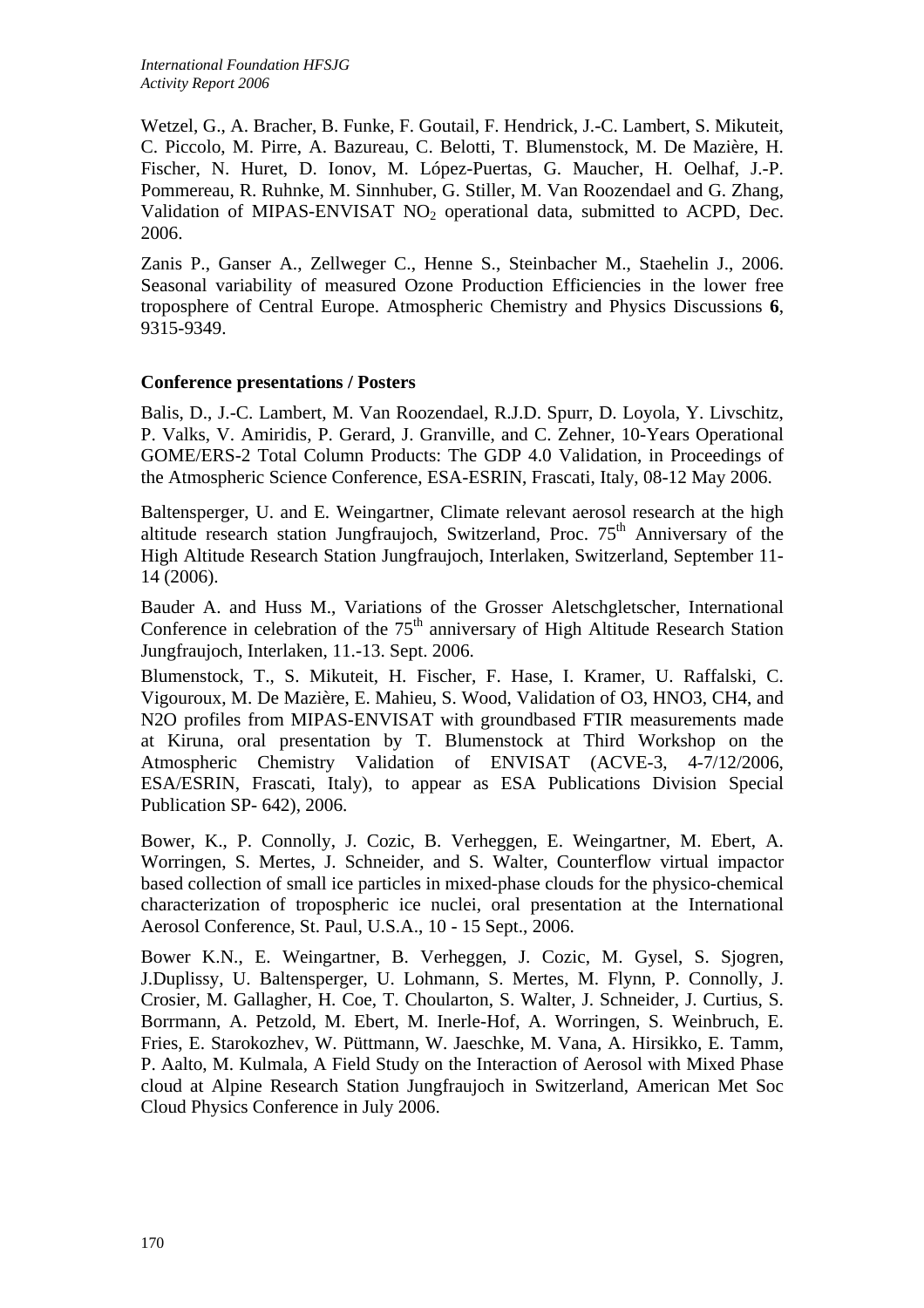Wetzel, G., A. Bracher, B. Funke, F. Goutail, F. Hendrick, J.-C. Lambert, S. Mikuteit, C. Piccolo, M. Pirre, A. Bazureau, C. Belotti, T. Blumenstock, M. De Mazière, H. Fischer, N. Huret, D. Ionov, M. López-Puertas, G. Maucher, H. Oelhaf, J.-P. Pommereau, R. Ruhnke, M. Sinnhuber, G. Stiller, M. Van Roozendael and G. Zhang, Validation of MIPAS-ENVISAT  $NO<sub>2</sub>$  operational data, submitted to ACPD, Dec. 2006.

Zanis P., Ganser A., Zellweger C., Henne S., Steinbacher M., Staehelin J., 2006. Seasonal variability of measured Ozone Production Efficiencies in the lower free troposphere of Central Europe. Atmospheric Chemistry and Physics Discussions **6**, 9315-9349.

### **Conference presentations / Posters**

Balis, D., J.-C. Lambert, M. Van Roozendael, R.J.D. Spurr, D. Loyola, Y. Livschitz, P. Valks, V. Amiridis, P. Gerard, J. Granville, and C. Zehner, 10-Years Operational GOME/ERS-2 Total Column Products: The GDP 4.0 Validation, in Proceedings of the Atmospheric Science Conference, ESA-ESRIN, Frascati, Italy, 08-12 May 2006.

Baltensperger, U. and E. Weingartner, Climate relevant aerosol research at the high altitude research station Jungfraujoch, Switzerland, Proc.  $75<sup>th</sup>$  Anniversary of the High Altitude Research Station Jungfraujoch, Interlaken, Switzerland, September 11- 14 (2006).

Bauder A. and Huss M., Variations of the Grosser Aletschgletscher, International Conference in celebration of the  $75<sup>th</sup>$  anniversary of High Altitude Research Station Jungfraujoch, Interlaken, 11.-13. Sept. 2006.

Blumenstock, T., S. Mikuteit, H. Fischer, F. Hase, I. Kramer, U. Raffalski, C. Vigouroux, M. De Mazière, E. Mahieu, S. Wood, Validation of O3, HNO3, CH4, and N2O profiles from MIPAS-ENVISAT with groundbased FTIR measurements made at Kiruna, oral presentation by T. Blumenstock at Third Workshop on the Atmospheric Chemistry Validation of ENVISAT (ACVE-3, 4-7/12/2006, ESA/ESRIN, Frascati, Italy), to appear as ESA Publications Division Special Publication SP- 642), 2006.

Bower, K., P. Connolly, J. Cozic, B. Verheggen, E. Weingartner, M. Ebert, A. Worringen, S. Mertes, J. Schneider, and S. Walter, Counterflow virtual impactor based collection of small ice particles in mixed-phase clouds for the physico-chemical characterization of tropospheric ice nuclei, oral presentation at the International Aerosol Conference, St. Paul, U.S.A., 10 - 15 Sept., 2006.

Bower K.N., E. Weingartner, B. Verheggen, J. Cozic, M. Gysel, S. Sjogren, J.Duplissy, U. Baltensperger, U. Lohmann, S. Mertes, M. Flynn, P. Connolly, J. Crosier, M. Gallagher, H. Coe, T. Choularton, S. Walter, J. Schneider, J. Curtius, S. Borrmann, A. Petzold, M. Ebert, M. Inerle-Hof, A. Worringen, S. Weinbruch, E. Fries, E. Starokozhev, W. Püttmann, W. Jaeschke, M. Vana, A. Hirsikko, E. Tamm, P. Aalto, M. Kulmala, A Field Study on the Interaction of Aerosol with Mixed Phase cloud at Alpine Research Station Jungfraujoch in Switzerland, American Met Soc Cloud Physics Conference in July 2006.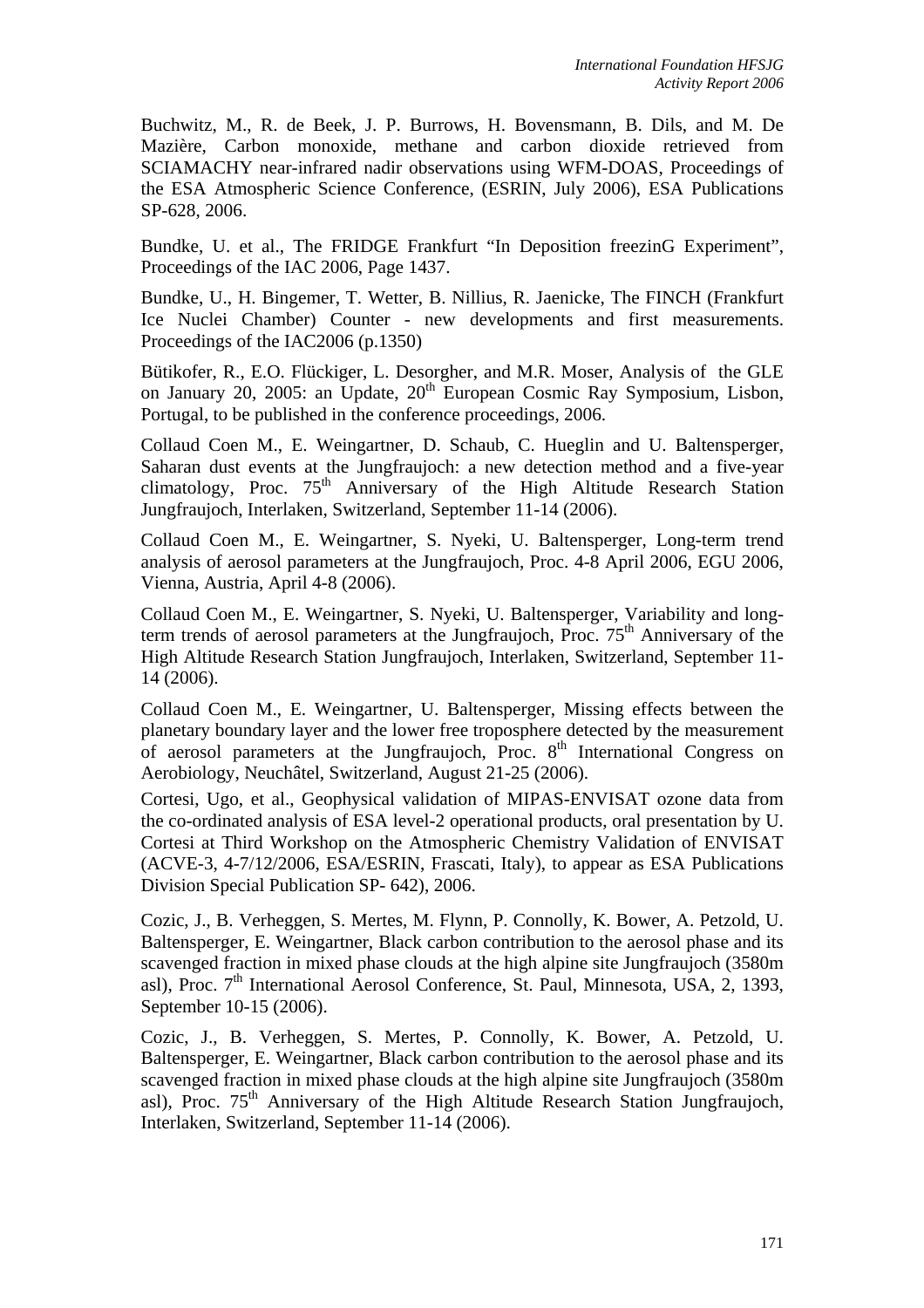Buchwitz, M., R. de Beek, J. P. Burrows, H. Bovensmann, B. Dils, and M. De Mazière, Carbon monoxide, methane and carbon dioxide retrieved from SCIAMACHY near-infrared nadir observations using WFM-DOAS, Proceedings of the ESA Atmospheric Science Conference, (ESRIN, July 2006), ESA Publications SP-628, 2006.

Bundke, U. et al., The FRIDGE Frankfurt "In Deposition freezinG Experiment", Proceedings of the IAC 2006, Page 1437.

Bundke, U., H. Bingemer, T. Wetter, B. Nillius, R. Jaenicke, The FINCH (Frankfurt Ice Nuclei Chamber) Counter - new developments and first measurements. Proceedings of the IAC2006 (p.1350)

Bütikofer, R., E.O. Flückiger, L. Desorgher, and M.R. Moser, Analysis of the GLE on January 20, 2005: an Update, 20<sup>th</sup> European Cosmic Ray Symposium, Lisbon, Portugal, to be published in the conference proceedings, 2006.

Collaud Coen M., E. Weingartner, D. Schaub, C. Hueglin and U. Baltensperger, Saharan dust events at the Jungfraujoch: a new detection method and a five-year climatology, Proc.  $75<sup>th</sup>$  Anniversary of the High Altitude Research Station Jungfraujoch, Interlaken, Switzerland, September 11-14 (2006).

Collaud Coen M., E. Weingartner, S. Nyeki, U. Baltensperger, Long-term trend analysis of aerosol parameters at the Jungfraujoch, Proc. 4-8 April 2006, EGU 2006, Vienna, Austria, April 4-8 (2006).

Collaud Coen M., E. Weingartner, S. Nyeki, U. Baltensperger, Variability and longterm trends of aerosol parameters at the Jungfraujoch, Proc.  $75<sup>th</sup>$  Anniversary of the High Altitude Research Station Jungfraujoch, Interlaken, Switzerland, September 11- 14 (2006).

Collaud Coen M., E. Weingartner, U. Baltensperger, Missing effects between the planetary boundary layer and the lower free troposphere detected by the measurement of aerosol parameters at the Jungfraujoch, Proc.  $8<sup>th</sup>$  International Congress on Aerobiology, Neuchâtel, Switzerland, August 21-25 (2006).

Cortesi, Ugo, et al., Geophysical validation of MIPAS-ENVISAT ozone data from the co-ordinated analysis of ESA level-2 operational products, oral presentation by U. Cortesi at Third Workshop on the Atmospheric Chemistry Validation of ENVISAT (ACVE-3, 4-7/12/2006, ESA/ESRIN, Frascati, Italy), to appear as ESA Publications Division Special Publication SP- 642), 2006.

Cozic, J., B. Verheggen, S. Mertes, M. Flynn, P. Connolly, K. Bower, A. Petzold, U. Baltensperger, E. Weingartner, Black carbon contribution to the aerosol phase and its scavenged fraction in mixed phase clouds at the high alpine site Jungfraujoch (3580m asl), Proc.  $7<sup>th</sup>$  International Aerosol Conference, St. Paul, Minnesota, USA, 2, 1393, September 10-15 (2006).

Cozic, J., B. Verheggen, S. Mertes, P. Connolly, K. Bower, A. Petzold, U. Baltensperger, E. Weingartner, Black carbon contribution to the aerosol phase and its scavenged fraction in mixed phase clouds at the high alpine site Jungfraujoch (3580m asl), Proc.  $75<sup>th</sup>$  Anniversary of the High Altitude Research Station Jungfraujoch, Interlaken, Switzerland, September 11-14 (2006).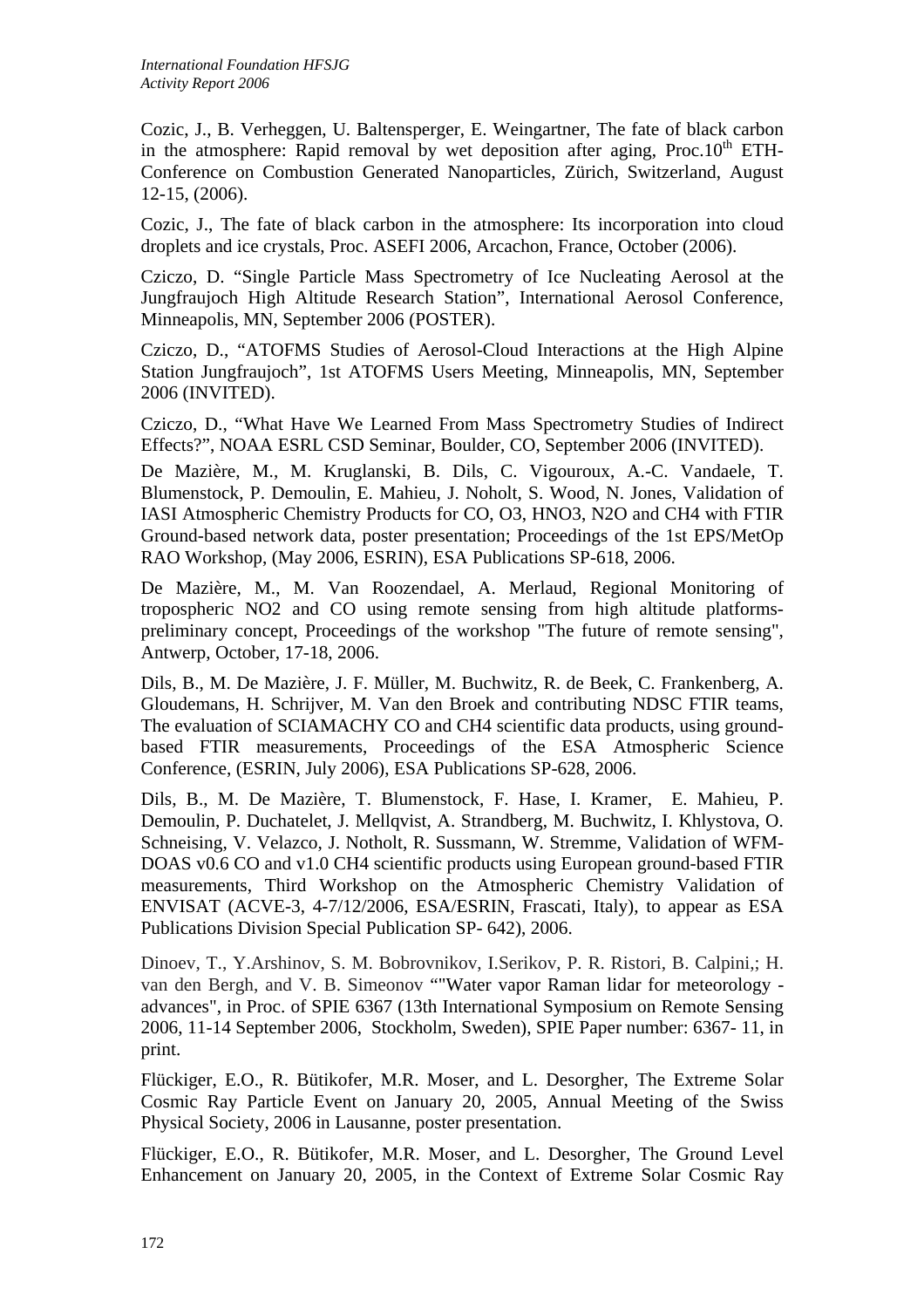Cozic, J., B. Verheggen, U. Baltensperger, E. Weingartner, The fate of black carbon in the atmosphere: Rapid removal by wet deposition after aging, Proc.10<sup>th</sup> ETH-Conference on Combustion Generated Nanoparticles, Zürich, Switzerland, August 12-15, (2006).

Cozic, J., The fate of black carbon in the atmosphere: Its incorporation into cloud droplets and ice crystals, Proc. ASEFI 2006, Arcachon, France, October (2006).

Cziczo, D. "Single Particle Mass Spectrometry of Ice Nucleating Aerosol at the Jungfraujoch High Altitude Research Station", International Aerosol Conference, Minneapolis, MN, September 2006 (POSTER).

Cziczo, D., "ATOFMS Studies of Aerosol-Cloud Interactions at the High Alpine Station Jungfraujoch", 1st ATOFMS Users Meeting, Minneapolis, MN, September 2006 (INVITED).

Cziczo, D., "What Have We Learned From Mass Spectrometry Studies of Indirect Effects?", NOAA ESRL CSD Seminar, Boulder, CO, September 2006 (INVITED).

De Mazière, M., M. Kruglanski, B. Dils, C. Vigouroux, A.-C. Vandaele, T. Blumenstock, P. Demoulin, E. Mahieu, J. Noholt, S. Wood, N. Jones, Validation of IASI Atmospheric Chemistry Products for CO, O3, HNO3, N2O and CH4 with FTIR Ground-based network data, poster presentation; Proceedings of the 1st EPS/MetOp RAO Workshop, (May 2006, ESRIN), ESA Publications SP-618, 2006.

De Mazière, M., M. Van Roozendael, A. Merlaud, Regional Monitoring of tropospheric NO2 and CO using remote sensing from high altitude platformspreliminary concept, Proceedings of the workshop "The future of remote sensing", Antwerp, October, 17-18, 2006.

Dils, B., M. De Mazière, J. F. Müller, M. Buchwitz, R. de Beek, C. Frankenberg, A. Gloudemans, H. Schrijver, M. Van den Broek and contributing NDSC FTIR teams, The evaluation of SCIAMACHY CO and CH4 scientific data products, using groundbased FTIR measurements, Proceedings of the ESA Atmospheric Science Conference, (ESRIN, July 2006), ESA Publications SP-628, 2006.

Dils, B., M. De Mazière, T. Blumenstock, F. Hase, I. Kramer, E. Mahieu, P. Demoulin, P. Duchatelet, J. Mellqvist, A. Strandberg, M. Buchwitz, I. Khlystova, O. Schneising, V. Velazco, J. Notholt, R. Sussmann, W. Stremme, Validation of WFM-DOAS v0.6 CO and v1.0 CH4 scientific products using European ground-based FTIR measurements, Third Workshop on the Atmospheric Chemistry Validation of ENVISAT (ACVE-3, 4-7/12/2006, ESA/ESRIN, Frascati, Italy), to appear as ESA Publications Division Special Publication SP- 642), 2006.

Dinoev, T., Y.Arshinov, S. M. Bobrovnikov, I.Serikov, P. R. Ristori, B. Calpini,; H. van den Bergh, and V. B. Simeonov ""Water vapor Raman lidar for meteorology advances", in Proc. of SPIE 6367 (13th International Symposium on Remote Sensing 2006, 11-14 September 2006, Stockholm, Sweden), SPIE Paper number: 6367- 11, in print.

Flückiger, E.O., R. Bütikofer, M.R. Moser, and L. Desorgher, The Extreme Solar Cosmic Ray Particle Event on January 20, 2005, Annual Meeting of the Swiss Physical Society, 2006 in Lausanne, poster presentation.

Flückiger, E.O., R. Bütikofer, M.R. Moser, and L. Desorgher, The Ground Level Enhancement on January 20, 2005, in the Context of Extreme Solar Cosmic Ray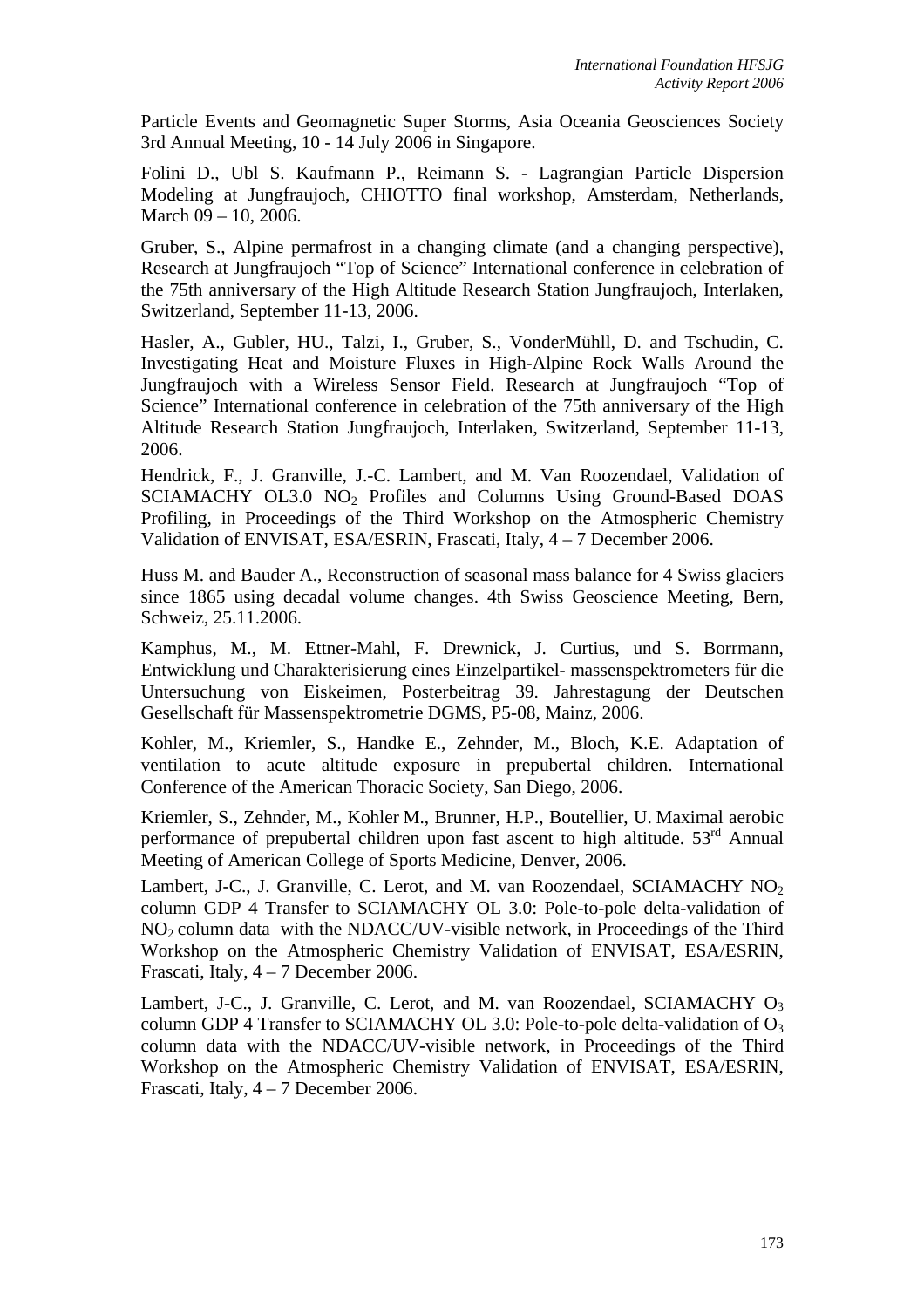Particle Events and Geomagnetic Super Storms, Asia Oceania Geosciences Society 3rd Annual Meeting, 10 - 14 July 2006 in Singapore.

Folini D., Ubl S. Kaufmann P., Reimann S. - Lagrangian Particle Dispersion Modeling at Jungfraujoch, CHIOTTO final workshop, Amsterdam, Netherlands, March 09 – 10, 2006.

Gruber, S., Alpine permafrost in a changing climate (and a changing perspective), Research at Jungfraujoch "Top of Science" International conference in celebration of the 75th anniversary of the High Altitude Research Station Jungfraujoch, Interlaken, Switzerland, September 11-13, 2006.

Hasler, A., Gubler, HU., Talzi, I., Gruber, S., VonderMühll, D. and Tschudin, C. Investigating Heat and Moisture Fluxes in High-Alpine Rock Walls Around the Jungfraujoch with a Wireless Sensor Field. Research at Jungfraujoch "Top of Science" International conference in celebration of the 75th anniversary of the High Altitude Research Station Jungfraujoch, Interlaken, Switzerland, September 11-13, 2006.

Hendrick, F., J. Granville, J.-C. Lambert, and M. Van Roozendael, Validation of SCIAMACHY OL3.0 NO<sub>2</sub> Profiles and Columns Using Ground-Based DOAS Profiling, in Proceedings of the Third Workshop on the Atmospheric Chemistry Validation of ENVISAT, ESA/ESRIN, Frascati, Italy, 4 – 7 December 2006.

Huss M. and Bauder A., Reconstruction of seasonal mass balance for 4 Swiss glaciers since 1865 using decadal volume changes. 4th Swiss Geoscience Meeting, Bern, Schweiz, 25.11.2006.

Kamphus, M., M. Ettner-Mahl, F. Drewnick, J. Curtius, und S. Borrmann, Entwicklung und Charakterisierung eines Einzelpartikel- massenspektrometers für die Untersuchung von Eiskeimen, Posterbeitrag 39. Jahrestagung der Deutschen Gesellschaft für Massenspektrometrie DGMS, P5-08, Mainz, 2006.

Kohler, M., Kriemler, S., Handke E., Zehnder, M., Bloch, K.E. Adaptation of ventilation to acute altitude exposure in prepubertal children. International Conference of the American Thoracic Society, San Diego, 2006.

Kriemler, S., Zehnder, M., Kohler M., Brunner, H.P., Boutellier, U. Maximal aerobic performance of prepubertal children upon fast ascent to high altitude.  $53<sup>rd</sup>$  Annual Meeting of American College of Sports Medicine, Denver, 2006.

Lambert, J-C., J. Granville, C. Lerot, and M. van Roozendael, SCIAMACHY NO<sub>2</sub> column GDP 4 Transfer to SCIAMACHY OL 3.0: Pole-to-pole delta-validation of  $NO<sub>2</sub>$  column data with the NDACC/UV-visible network, in Proceedings of the Third Workshop on the Atmospheric Chemistry Validation of ENVISAT, ESA/ESRIN, Frascati, Italy, 4 – 7 December 2006.

Lambert, J-C., J. Granville, C. Lerot, and M. van Roozendael, SCIAMACHY  $O_3$ column GDP 4 Transfer to SCIAMACHY OL 3.0: Pole-to-pole delta-validation of  $O_3$ column data with the NDACC/UV-visible network, in Proceedings of the Third Workshop on the Atmospheric Chemistry Validation of ENVISAT, ESA/ESRIN, Frascati, Italy, 4 – 7 December 2006.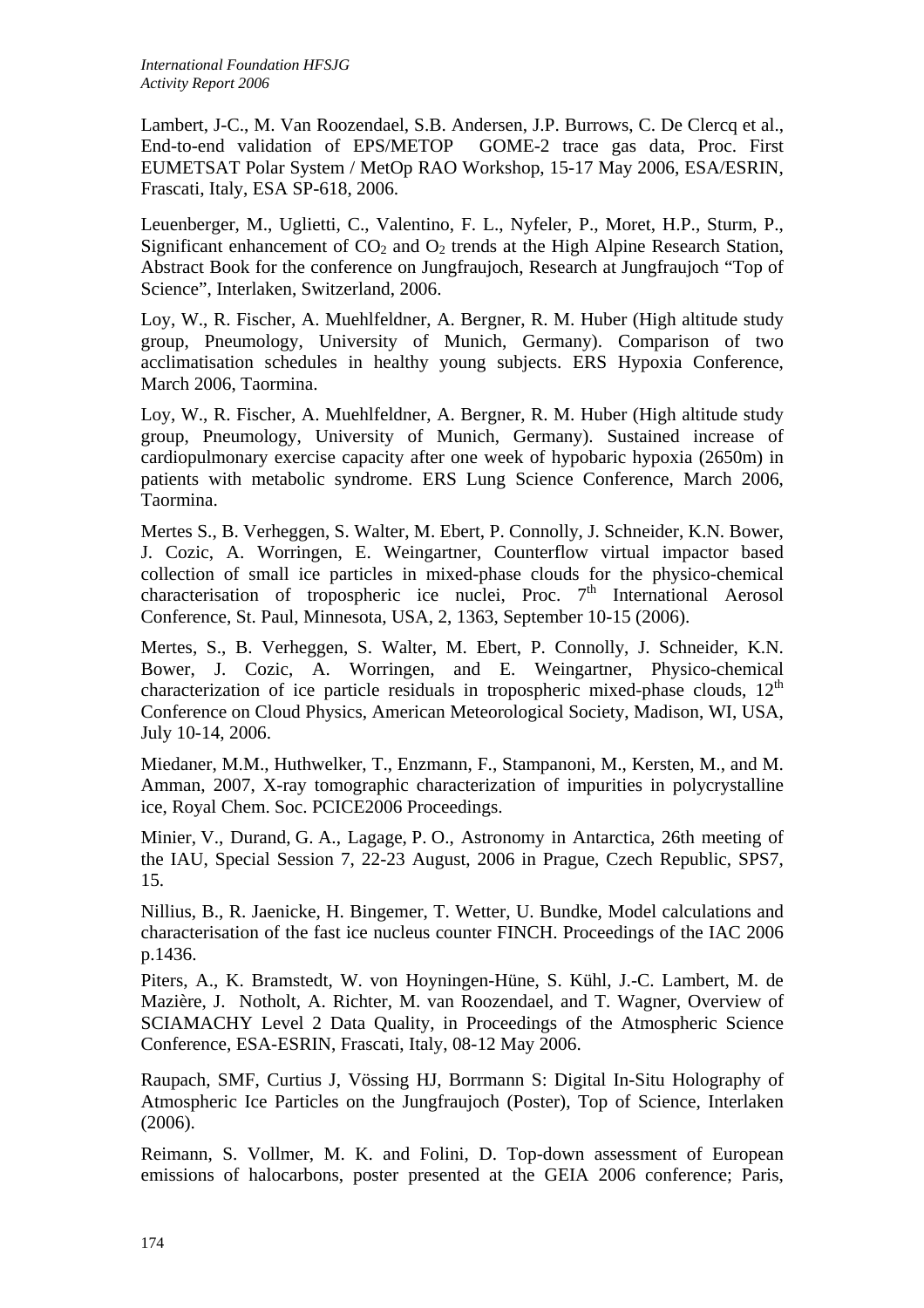Lambert, J-C., M. Van Roozendael, S.B. Andersen, J.P. Burrows, C. De Clercq et al., End-to-end validation of EPS/METOP GOME-2 trace gas data, Proc. First EUMETSAT Polar System / MetOp RAO Workshop, 15-17 May 2006, ESA/ESRIN, Frascati, Italy, ESA SP-618, 2006.

Leuenberger, M., Uglietti, C., Valentino, F. L., Nyfeler, P., Moret, H.P., Sturm, P., Significant enhancement of  $CO<sub>2</sub>$  and  $O<sub>2</sub>$  trends at the High Alpine Research Station, Abstract Book for the conference on Jungfraujoch, Research at Jungfraujoch "Top of Science", Interlaken, Switzerland, 2006.

Loy, W., R. Fischer, A. Muehlfeldner, A. Bergner, R. M. Huber (High altitude study group, Pneumology, University of Munich, Germany). Comparison of two acclimatisation schedules in healthy young subjects. ERS Hypoxia Conference, March 2006, Taormina.

Loy, W., R. Fischer, A. Muehlfeldner, A. Bergner, R. M. Huber (High altitude study group, Pneumology, University of Munich, Germany). Sustained increase of cardiopulmonary exercise capacity after one week of hypobaric hypoxia (2650m) in patients with metabolic syndrome. ERS Lung Science Conference, March 2006, Taormina.

Mertes S., B. Verheggen, S. Walter, M. Ebert, P. Connolly, J. Schneider, K.N. Bower, J. Cozic, A. Worringen, E. Weingartner, Counterflow virtual impactor based collection of small ice particles in mixed-phase clouds for the physico-chemical characterisation of tropospheric ice nuclei, Proc.  $7<sup>th</sup>$  International Aerosol Conference, St. Paul, Minnesota, USA, 2, 1363, September 10-15 (2006).

Mertes, S., B. Verheggen, S. Walter, M. Ebert, P. Connolly, J. Schneider, K.N. Bower, J. Cozic, A. Worringen, and E. Weingartner, Physico-chemical characterization of ice particle residuals in tropospheric mixed-phase clouds,  $12<sup>th</sup>$ Conference on Cloud Physics, American Meteorological Society, Madison, WI, USA, July 10-14, 2006.

Miedaner, M.M., Huthwelker, T., Enzmann, F., Stampanoni, M., Kersten, M., and M. Amman, 2007, X-ray tomographic characterization of impurities in polycrystalline ice, Royal Chem. Soc. PCICE2006 Proceedings.

Minier, V., Durand, G. A., Lagage, P. O., Astronomy in Antarctica, 26th meeting of the IAU, Special Session 7, 22-23 August, 2006 in Prague, Czech Republic, SPS7, 15.

Nillius, B., R. Jaenicke, H. Bingemer, T. Wetter, U. Bundke, Model calculations and characterisation of the fast ice nucleus counter FINCH. Proceedings of the IAC 2006 p.1436.

Piters, A., K. Bramstedt, W. von Hoyningen-Hüne, S. Kühl, J.-C. Lambert, M. de Mazière, J. Notholt, A. Richter, M. van Roozendael, and T. Wagner, Overview of SCIAMACHY Level 2 Data Quality, in Proceedings of the Atmospheric Science Conference, ESA-ESRIN, Frascati, Italy, 08-12 May 2006.

Raupach, SMF, Curtius J, Vössing HJ, Borrmann S: Digital In-Situ Holography of Atmospheric Ice Particles on the Jungfraujoch (Poster), Top of Science, Interlaken (2006).

Reimann, S. Vollmer, M. K. and Folini, D. Top-down assessment of European emissions of halocarbons, poster presented at the GEIA 2006 conference; Paris,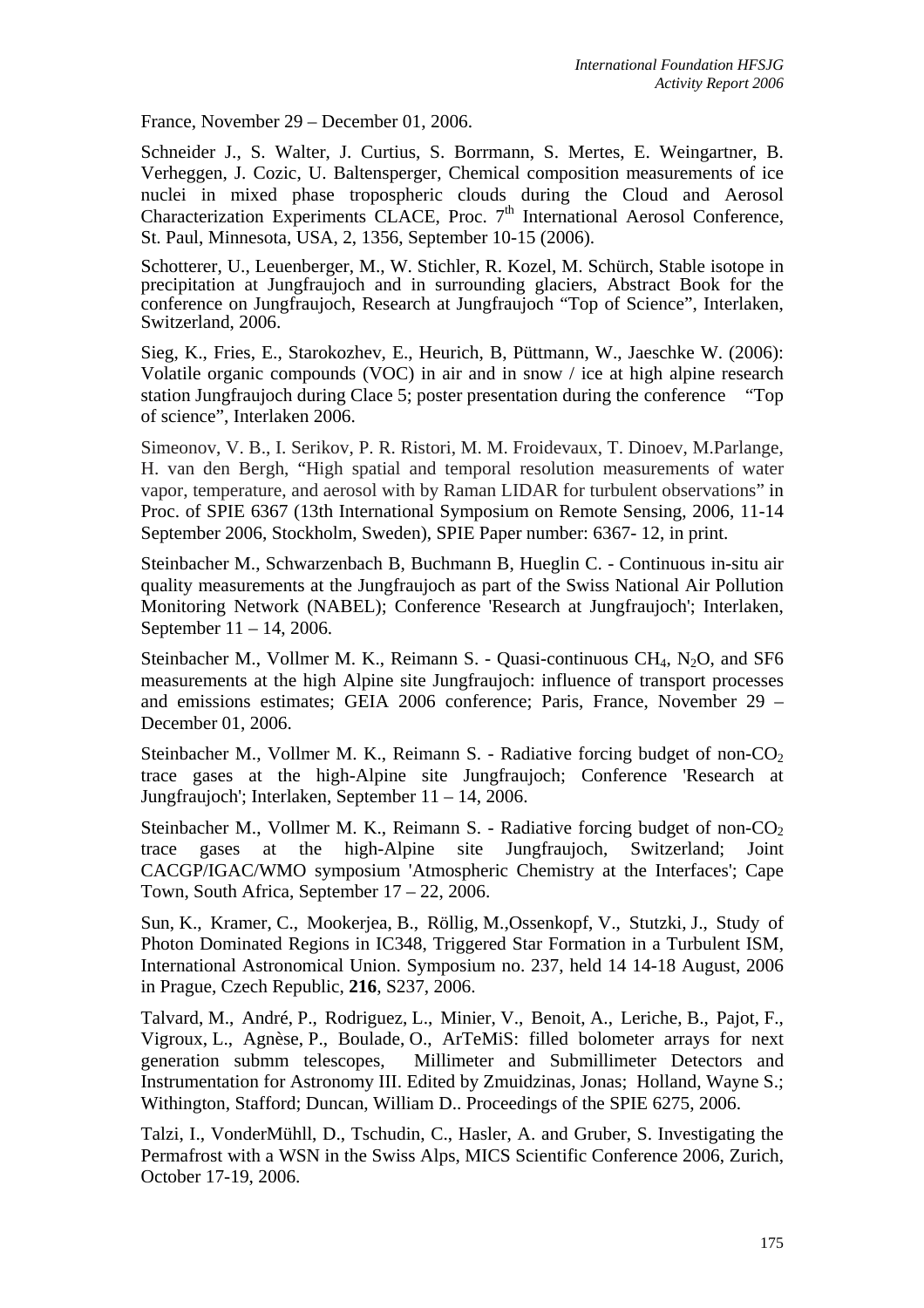France, November 29 – December 01, 2006.

Schneider J., S. Walter, J. Curtius, S. Borrmann, S. Mertes, E. Weingartner, B. Verheggen, J. Cozic, U. Baltensperger, Chemical composition measurements of ice nuclei in mixed phase tropospheric clouds during the Cloud and Aerosol Characterization Experiments CLACE, Proc.  $7<sup>th</sup>$  International Aerosol Conference, St. Paul, Minnesota, USA, 2, 1356, September 10-15 (2006).

Schotterer, U., Leuenberger, M., W. Stichler, R. Kozel, M. Schürch, Stable isotope in precipitation at Jungfraujoch and in surrounding glaciers, Abstract Book for the conference on Jungfraujoch, Research at Jungfraujoch "Top of Science", Interlaken, Switzerland, 2006.

Sieg, K., Fries, E., Starokozhev, E., Heurich, B, Püttmann, W., Jaeschke W. (2006): Volatile organic compounds (VOC) in air and in snow / ice at high alpine research station Jungfraujoch during Clace 5; poster presentation during the conference "Top of science", Interlaken 2006.

Simeonov, V. B., I. Serikov, P. R. Ristori, M. M. Froidevaux, T. Dinoev, M.Parlange, H. van den Bergh, "High spatial and temporal resolution measurements of water vapor, temperature, and aerosol with by Raman LIDAR for turbulent observations" in Proc. of SPIE 6367 (13th International Symposium on Remote Sensing, 2006, 11-14 September 2006, Stockholm, Sweden), SPIE Paper number: 6367- 12, in print.

Steinbacher M., Schwarzenbach B, Buchmann B, Hueglin C. - Continuous in-situ air quality measurements at the Jungfraujoch as part of the Swiss National Air Pollution Monitoring Network (NABEL); Conference 'Research at Jungfraujoch'; Interlaken, September 11 – 14, 2006.

Steinbacher M., Vollmer M. K., Reimann S. - Quasi-continuous  $CH_4$ , N<sub>2</sub>O, and SF6 measurements at the high Alpine site Jungfraujoch: influence of transport processes and emissions estimates; GEIA 2006 conference; Paris, France, November 29 – December 01, 2006.

Steinbacher M., Vollmer M. K., Reimann S. - Radiative forcing budget of non- $CO<sub>2</sub>$ trace gases at the high-Alpine site Jungfraujoch; Conference 'Research at Jungfraujoch'; Interlaken, September 11 – 14, 2006.

Steinbacher M., Vollmer M. K., Reimann S. - Radiative forcing budget of non-CO<sub>2</sub> trace gases at the high-Alpine site Jungfraujoch, Switzerland; Joint CACGP/IGAC/WMO symposium 'Atmospheric Chemistry at the Interfaces'; Cape Town, South Africa, September 17 – 22, 2006.

Sun, K., Kramer, C., Mookerjea, B., Röllig, M.,Ossenkopf, V., Stutzki, J., Study of Photon Dominated Regions in IC348, Triggered Star Formation in a Turbulent ISM, International Astronomical Union. Symposium no. 237, held 14 14-18 August, 2006 in Prague, Czech Republic, **216**, S237, 2006.

Talvard, M., André, P., Rodriguez, L., Minier, V., Benoit, A., Leriche, B., Pajot, F., Vigroux, L., Agnèse, P., Boulade, O., ArTeMiS: filled bolometer arrays for next generation submm telescopes, Millimeter and Submillimeter Detectors and Instrumentation for Astronomy III. Edited by Zmuidzinas, Jonas; Holland, Wayne S.; Withington, Stafford; Duncan, William D.. Proceedings of the SPIE 6275, 2006.

Talzi, I., VonderMühll, D., Tschudin, C., Hasler, A. and Gruber, S. Investigating the Permafrost with a WSN in the Swiss Alps, MICS Scientific Conference 2006, Zurich, October 17-19, 2006.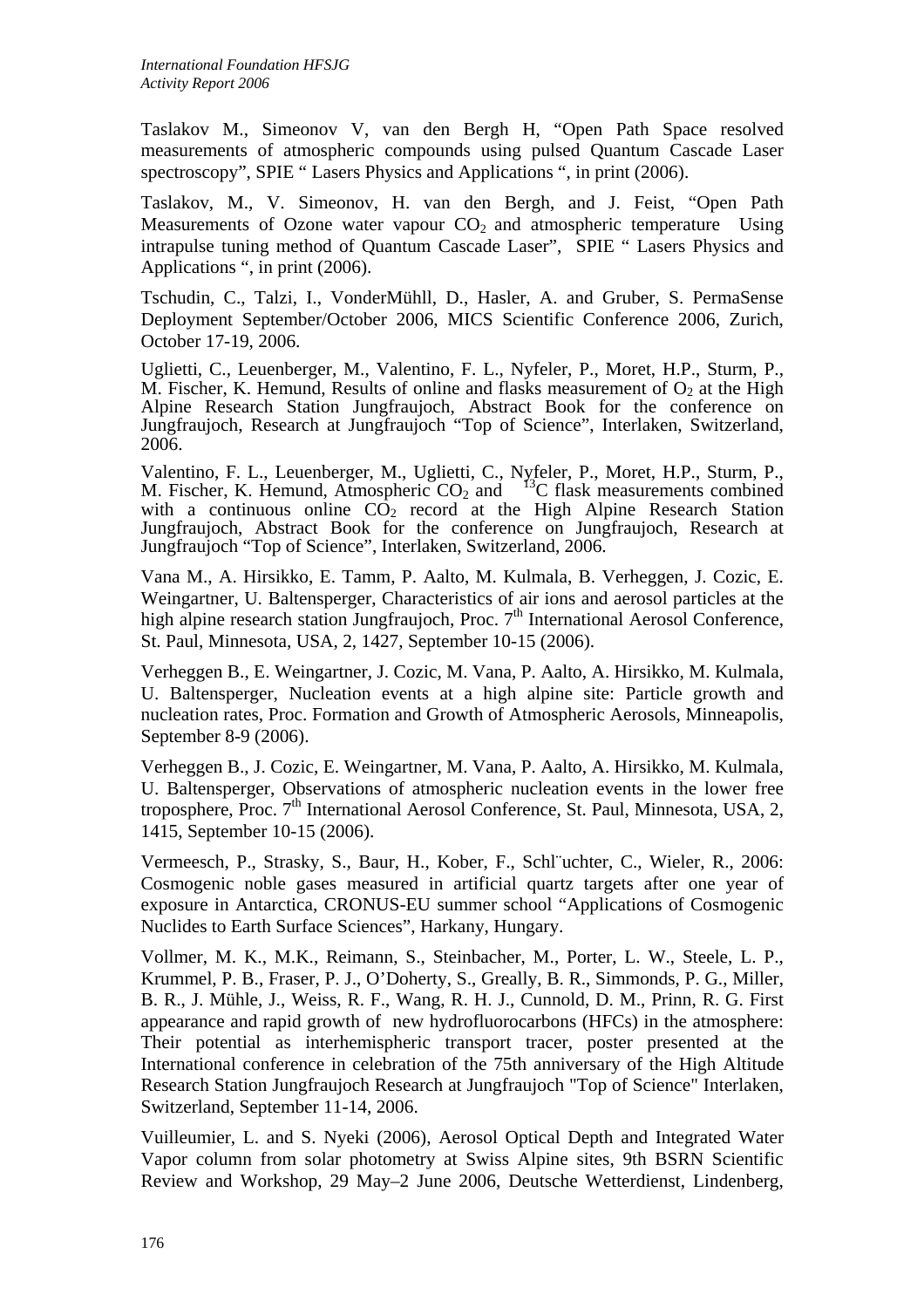Taslakov M., Simeonov V, van den Bergh H, "Open Path Space resolved measurements of atmospheric compounds using pulsed Quantum Cascade Laser spectroscopy", SPIE " Lasers Physics and Applications ", in print (2006).

Taslakov, M., V. Simeonov, H. van den Bergh, and J. Feist, "Open Path Measurements of Ozone water vapour  $CO<sub>2</sub>$  and atmospheric temperature Using intrapulse tuning method of Quantum Cascade Laser", SPIE " Lasers Physics and Applications ", in print (2006).

Tschudin, C., Talzi, I., VonderMühll, D., Hasler, A. and Gruber, S. PermaSense Deployment September/October 2006, MICS Scientific Conference 2006, Zurich, October 17-19, 2006.

Uglietti, C., Leuenberger, M., Valentino, F. L., Nyfeler, P., Moret, H.P., Sturm, P., M. Fischer, K. Hemund, Results of online and flasks measurement of  $O<sub>2</sub>$  at the High Alpine Research Station Jungfraujoch, Abstract Book for the conference on Jungfraujoch, Research at Jungfraujoch "Top of Science", Interlaken, Switzerland, 2006.

Valentino, F. L., Leuenberger, M., Uglietti, C., Nyfeler, P., Moret, H.P., Sturm, P., M. Fischer, K. Hemund, Atmospheric  $CO_2$  and  $13C$  flask measurements combined with a continuous online  $CO<sub>2</sub>$  record at the High Alpine Research Station Jungfraujoch, Abstract Book for the conference on Jungfraujoch, Research at Jungfraujoch "Top of Science", Interlaken, Switzerland, 2006.

Vana M., A. Hirsikko, E. Tamm, P. Aalto, M. Kulmala, B. Verheggen, J. Cozic, E. Weingartner, U. Baltensperger, Characteristics of air ions and aerosol particles at the high alpine research station Jungfraujoch, Proc. 7<sup>th</sup> International Aerosol Conference, St. Paul, Minnesota, USA, 2, 1427, September 10-15 (2006).

Verheggen B., E. Weingartner, J. Cozic, M. Vana, P. Aalto, A. Hirsikko, M. Kulmala, U. Baltensperger, Nucleation events at a high alpine site: Particle growth and nucleation rates, Proc. Formation and Growth of Atmospheric Aerosols, Minneapolis, September 8-9 (2006).

Verheggen B., J. Cozic, E. Weingartner, M. Vana, P. Aalto, A. Hirsikko, M. Kulmala, U. Baltensperger, Observations of atmospheric nucleation events in the lower free troposphere, Proc.  $7<sup>th</sup>$  International Aerosol Conference, St. Paul, Minnesota, USA, 2, 1415, September 10-15 (2006).

Vermeesch, P., Strasky, S., Baur, H., Kober, F., Schl¨uchter, C., Wieler, R., 2006: Cosmogenic noble gases measured in artificial quartz targets after one year of exposure in Antarctica, CRONUS-EU summer school "Applications of Cosmogenic Nuclides to Earth Surface Sciences", Harkany, Hungary.

Vollmer, M. K., M.K., Reimann, S., Steinbacher, M., Porter, L. W., Steele, L. P., Krummel, P. B., Fraser, P. J., O'Doherty, S., Greally, B. R., Simmonds, P. G., Miller, B. R., J. Mühle, J., Weiss, R. F., Wang, R. H. J., Cunnold, D. M., Prinn, R. G. First appearance and rapid growth of new hydrofluorocarbons (HFCs) in the atmosphere: Their potential as interhemispheric transport tracer, poster presented at the International conference in celebration of the 75th anniversary of the High Altitude Research Station Jungfraujoch Research at Jungfraujoch "Top of Science" Interlaken, Switzerland, September 11-14, 2006.

Vuilleumier, L. and S. Nyeki (2006), Aerosol Optical Depth and Integrated Water Vapor column from solar photometry at Swiss Alpine sites, 9th BSRN Scientific Review and Workshop, 29 May–2 June 2006, Deutsche Wetterdienst, Lindenberg,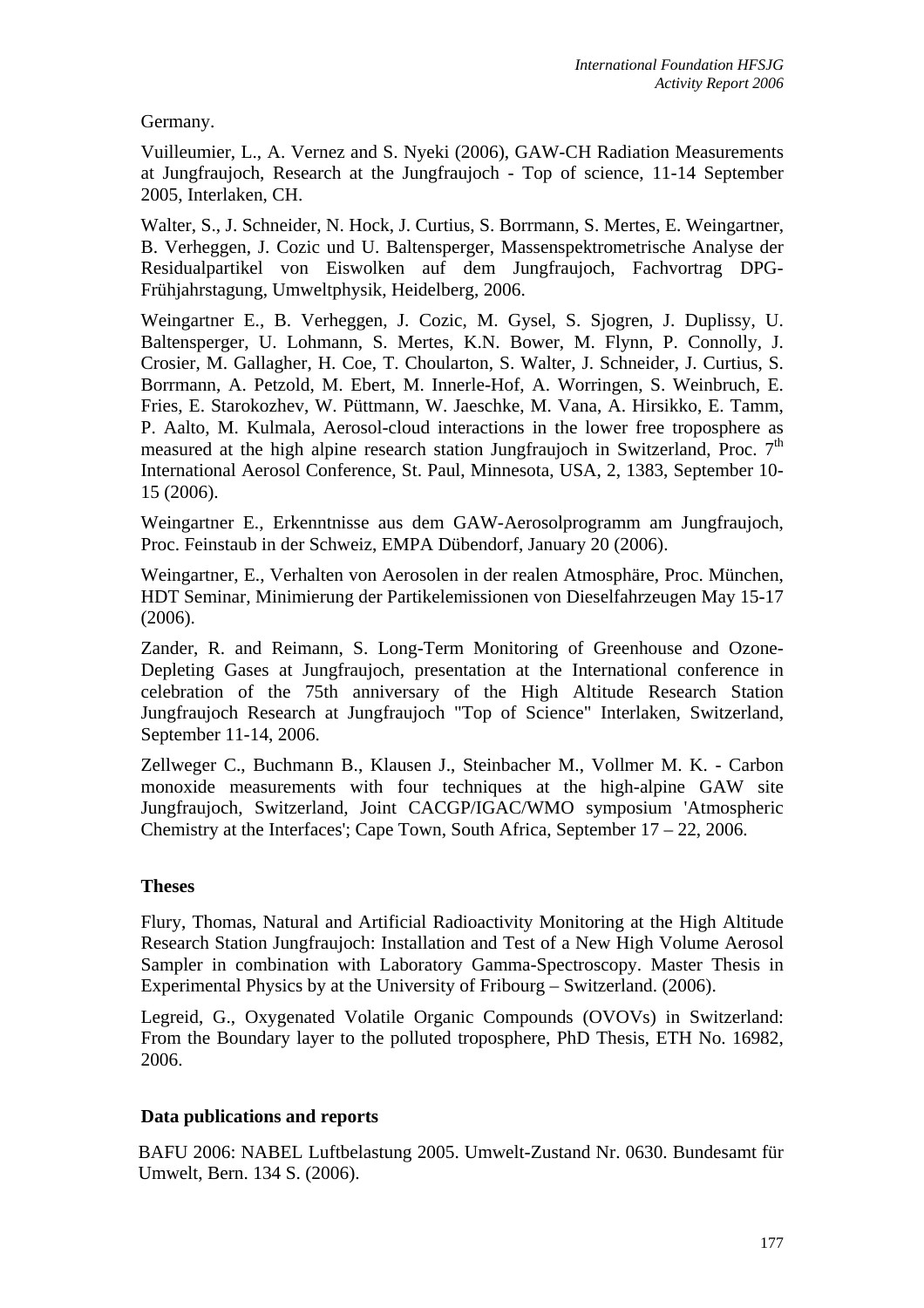Germany.

Vuilleumier, L., A. Vernez and S. Nyeki (2006), GAW-CH Radiation Measurements at Jungfraujoch, Research at the Jungfraujoch - Top of science, 11-14 September 2005, Interlaken, CH.

Walter, S., J. Schneider, N. Hock, J. Curtius, S. Borrmann, S. Mertes, E. Weingartner, B. Verheggen, J. Cozic und U. Baltensperger, Massenspektrometrische Analyse der Residualpartikel von Eiswolken auf dem Jungfraujoch, Fachvortrag DPG-Frühjahrstagung, Umweltphysik, Heidelberg, 2006.

Weingartner E., B. Verheggen, J. Cozic, M. Gysel, S. Sjogren, J. Duplissy, U. Baltensperger, U. Lohmann, S. Mertes, K.N. Bower, M. Flynn, P. Connolly, J. Crosier, M. Gallagher, H. Coe, T. Choularton, S. Walter, J. Schneider, J. Curtius, S. Borrmann, A. Petzold, M. Ebert, M. Innerle-Hof, A. Worringen, S. Weinbruch, E. Fries, E. Starokozhev, W. Püttmann, W. Jaeschke, M. Vana, A. Hirsikko, E. Tamm, P. Aalto, M. Kulmala, Aerosol-cloud interactions in the lower free troposphere as measured at the high alpine research station Jungfraujoch in Switzerland, Proc. 7<sup>th</sup> International Aerosol Conference, St. Paul, Minnesota, USA, 2, 1383, September 10- 15 (2006).

Weingartner E., Erkenntnisse aus dem GAW-Aerosolprogramm am Jungfraujoch, Proc. Feinstaub in der Schweiz, EMPA Dübendorf, January 20 (2006).

Weingartner, E., Verhalten von Aerosolen in der realen Atmosphäre, Proc. München, HDT Seminar, Minimierung der Partikelemissionen von Dieselfahrzeugen May 15-17 (2006).

Zander, R. and Reimann, S. Long-Term Monitoring of Greenhouse and Ozone-Depleting Gases at Jungfraujoch, presentation at the International conference in celebration of the 75th anniversary of the High Altitude Research Station Jungfraujoch Research at Jungfraujoch "Top of Science" Interlaken, Switzerland, September 11-14, 2006.

Zellweger C., Buchmann B., Klausen J., Steinbacher M., Vollmer M. K. - Carbon monoxide measurements with four techniques at the high-alpine GAW site Jungfraujoch, Switzerland, Joint CACGP/IGAC/WMO symposium 'Atmospheric Chemistry at the Interfaces'; Cape Town, South Africa, September 17 – 22, 2006.

#### **Theses**

Flury, Thomas, Natural and Artificial Radioactivity Monitoring at the High Altitude Research Station Jungfraujoch: Installation and Test of a New High Volume Aerosol Sampler in combination with Laboratory Gamma-Spectroscopy. Master Thesis in Experimental Physics by at the University of Fribourg – Switzerland. (2006).

Legreid, G., Oxygenated Volatile Organic Compounds (OVOVs) in Switzerland: From the Boundary layer to the polluted troposphere, PhD Thesis, ETH No. 16982, 2006.

#### **Data publications and reports**

BAFU 2006: NABEL Luftbelastung 2005. Umwelt-Zustand Nr. 0630. Bundesamt für Umwelt, Bern. 134 S. (2006).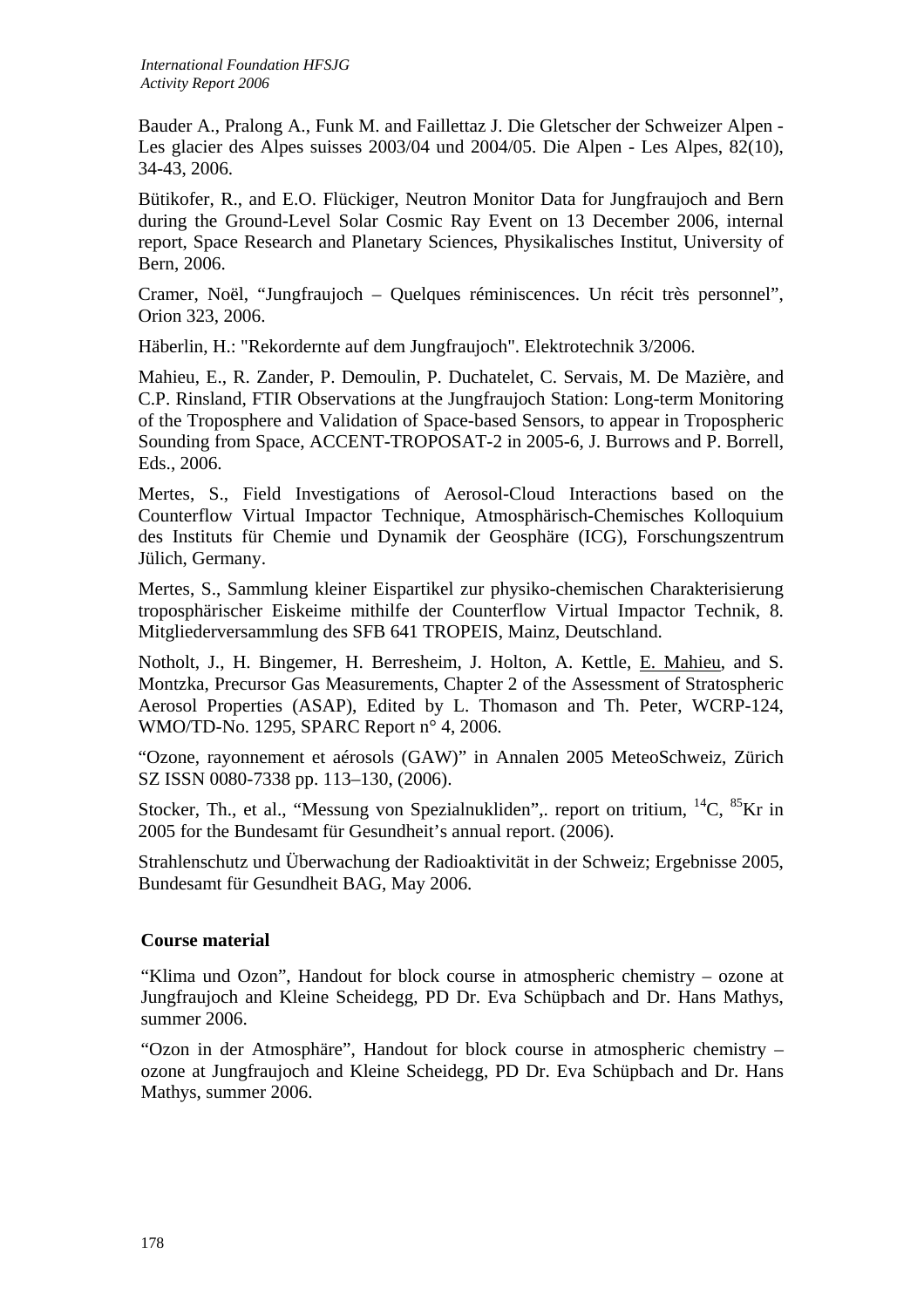Bauder A., Pralong A., Funk M. and Faillettaz J. Die Gletscher der Schweizer Alpen - Les glacier des Alpes suisses 2003/04 und 2004/05. Die Alpen - Les Alpes, 82(10), 34-43, 2006.

Bütikofer, R., and E.O. Flückiger, Neutron Monitor Data for Jungfraujoch and Bern during the Ground-Level Solar Cosmic Ray Event on 13 December 2006, internal report, Space Research and Planetary Sciences, Physikalisches Institut, University of Bern, 2006.

Cramer, Noël, "Jungfraujoch – Quelques réminiscences. Un récit très personnel", Orion 323, 2006.

Häberlin, H.: "Rekordernte auf dem Jungfraujoch". Elektrotechnik 3/2006.

Mahieu, E., R. Zander, P. Demoulin, P. Duchatelet, C. Servais, M. De Mazière, and C.P. Rinsland, FTIR Observations at the Jungfraujoch Station: Long-term Monitoring of the Troposphere and Validation of Space-based Sensors, to appear in Tropospheric Sounding from Space, ACCENT-TROPOSAT-2 in 2005-6, J. Burrows and P. Borrell, Eds., 2006.

Mertes, S., Field Investigations of Aerosol-Cloud Interactions based on the Counterflow Virtual Impactor Technique, Atmosphärisch-Chemisches Kolloquium des Instituts für Chemie und Dynamik der Geosphäre (ICG), Forschungszentrum Jülich, Germany.

Mertes, S., Sammlung kleiner Eispartikel zur physiko-chemischen Charakterisierung troposphärischer Eiskeime mithilfe der Counterflow Virtual Impactor Technik, 8. Mitgliederversammlung des SFB 641 TROPEIS, Mainz, Deutschland.

Notholt, J., H. Bingemer, H. Berresheim, J. Holton, A. Kettle, E. Mahieu, and S. Montzka, Precursor Gas Measurements, Chapter 2 of the Assessment of Stratospheric Aerosol Properties (ASAP), Edited by L. Thomason and Th. Peter, WCRP-124, WMO/TD-No. 1295, SPARC Report n° 4, 2006.

"Ozone, rayonnement et aérosols (GAW)" in Annalen 2005 MeteoSchweiz, Zürich SZ ISSN 0080-7338 pp. 113–130, (2006).

Stocker, Th., et al., "Messung von Spezialnukliden", report on tritium,  ${}^{14}C$ ,  ${}^{85}Kr$  in 2005 for the Bundesamt für Gesundheit's annual report. (2006).

Strahlenschutz und Überwachung der Radioaktivität in der Schweiz; Ergebnisse 2005, Bundesamt für Gesundheit BAG, May 2006.

#### **Course material**

"Klima und Ozon", Handout for block course in atmospheric chemistry – ozone at Jungfraujoch and Kleine Scheidegg, PD Dr. Eva Schüpbach and Dr. Hans Mathys, summer 2006.

"Ozon in der Atmosphäre", Handout for block course in atmospheric chemistry – ozone at Jungfraujoch and Kleine Scheidegg, PD Dr. Eva Schüpbach and Dr. Hans Mathys, summer 2006.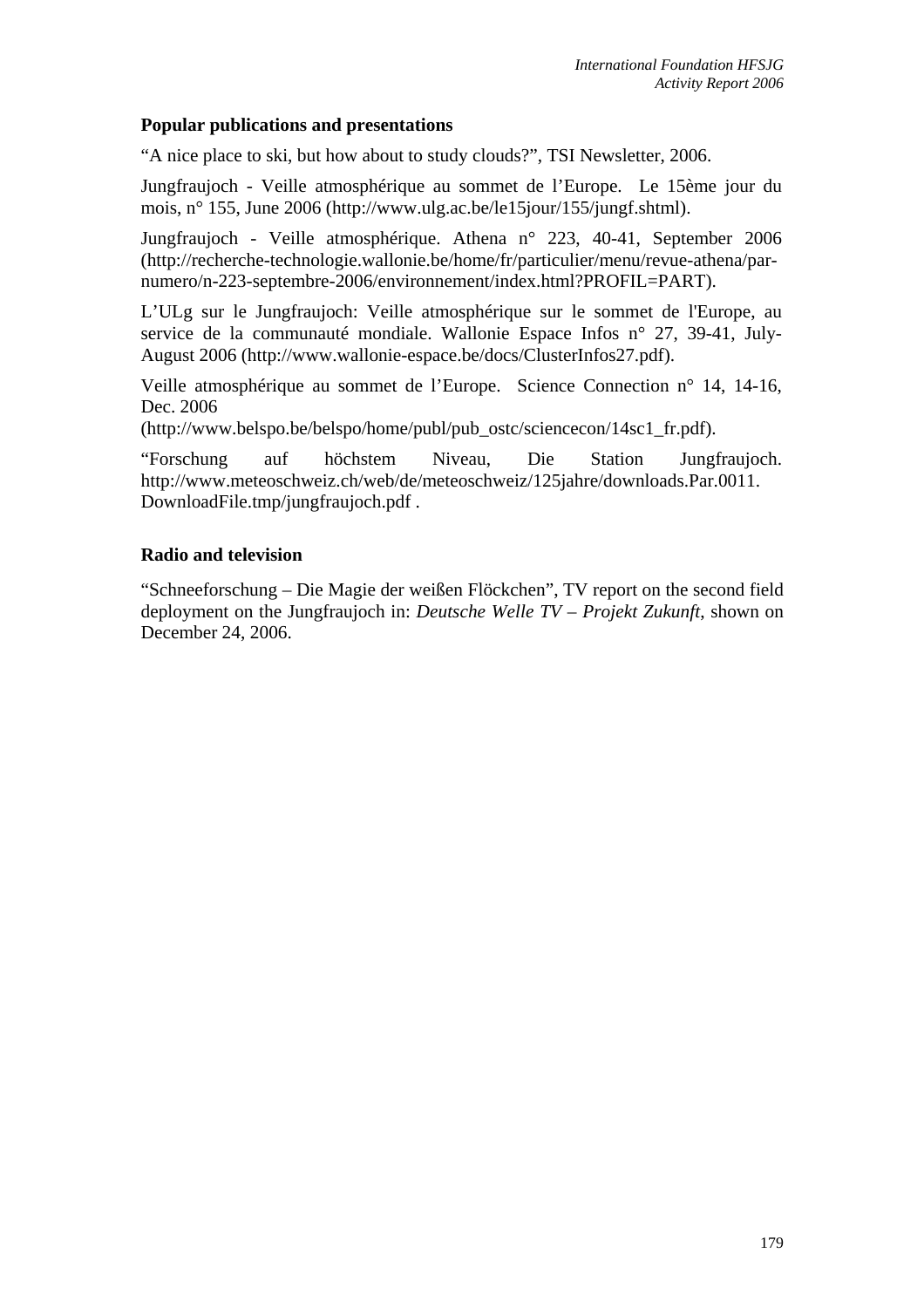#### **Popular publications and presentations**

"A nice place to ski, but how about to study clouds?", TSI Newsletter, 2006.

Jungfraujoch - Veille atmosphérique au sommet de l'Europe. Le 15ème jour du mois, n° 155, June 2006 (http://www.ulg.ac.be/le15jour/155/jungf.shtml).

Jungfraujoch - Veille atmosphérique. Athena n° 223, 40-41, September 2006 (http://recherche-technologie.wallonie.be/home/fr/particulier/menu/revue-athena/parnumero/n-223-septembre-2006/environnement/index.html?PROFIL=PART).

L'ULg sur le Jungfraujoch: Veille atmosphérique sur le sommet de l'Europe, au service de la communauté mondiale. Wallonie Espace Infos n° 27, 39-41, July-August 2006 (http://www.wallonie-espace.be/docs/ClusterInfos27.pdf).

Veille atmosphérique au sommet de l'Europe. Science Connection n° 14, 14-16, Dec. 2006

(http://www.belspo.be/belspo/home/publ/pub\_ostc/sciencecon/14sc1\_fr.pdf).

"Forschung auf höchstem Niveau, Die Station Jungfraujoch. http://www.meteoschweiz.ch/web/de/meteoschweiz/125jahre/downloads.Par.0011. DownloadFile.tmp/jungfraujoch.pdf .

## **Radio and television**

"Schneeforschung – Die Magie der weißen Flöckchen", TV report on the second field deployment on the Jungfraujoch in: *Deutsche Welle TV – Projekt Zukunft*, shown on December 24, 2006.